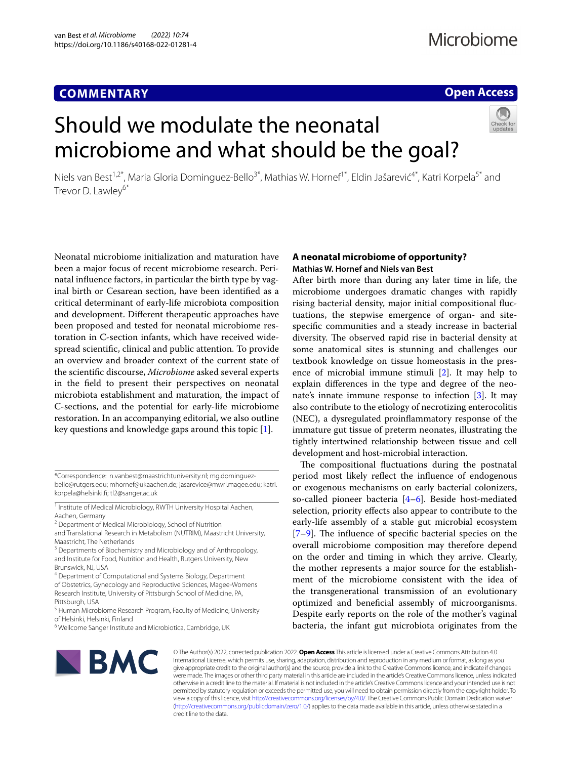# **COMMENTARY**

# **Open Access**

# Should we modulate the neonatal microbiome and what should be the goal?



Neonatal microbiome initialization and maturation have been a major focus of recent microbiome research. Perinatal infuence factors, in particular the birth type by vaginal birth or Cesarean section, have been identifed as a critical determinant of early-life microbiota composition and development. Diferent therapeutic approaches have been proposed and tested for neonatal microbiome restoration in C-section infants, which have received widespread scientifc, clinical and public attention. To provide an overview and broader context of the current state of the scientifc discourse, *Microbiome* asked several experts in the feld to present their perspectives on neonatal microbiota establishment and maturation, the impact of C-sections, and the potential for early-life microbiome restoration. In an accompanying editorial, we also outline key questions and knowledge gaps around this topic [\[1\]](#page-5-0).

<sup>1</sup> Institute of Medical Microbiology, RWTH University Hospital Aachen, Aachen, Germany

and Translational Research in Metabolism (NUTRIM), Maastricht University, Maastricht, The Netherlands

<sup>3</sup> Departments of Biochemistry and Microbiology and of Anthropology, and Institute for Food, Nutrition and Health, Rutgers University, New Brunswick, NJ, USA

<sup>4</sup> Department of Computational and Systems Biology, Department of Obstetrics, Gynecology and Reproductive Sciences, Magee‑Womens Research Institute, University of Pittsburgh School of Medicine, PA, Pittsburgh, USA

## **A neonatal microbiome of opportunity? Mathias W. Hornef and Niels van Best**

After birth more than during any later time in life, the microbiome undergoes dramatic changes with rapidly rising bacterial density, major initial compositional fuctuations, the stepwise emergence of organ- and sitespecifc communities and a steady increase in bacterial diversity. The observed rapid rise in bacterial density at some anatomical sites is stunning and challenges our textbook knowledge on tissue homeostasis in the presence of microbial immune stimuli [[2\]](#page-5-1). It may help to explain diferences in the type and degree of the neonate's innate immune response to infection  $[3]$  $[3]$  $[3]$ . It may also contribute to the etiology of necrotizing enterocolitis (NEC), a dysregulated proinfammatory response of the immature gut tissue of preterm neonates, illustrating the tightly intertwined relationship between tissue and cell development and host-microbial interaction.

The compositional fluctuations during the postnatal period most likely refect the infuence of endogenous or exogenous mechanisms on early bacterial colonizers, so-called pioneer bacteria [\[4](#page-5-3)[–6](#page-5-4)]. Beside host-mediated selection, priority efects also appear to contribute to the early-life assembly of a stable gut microbial ecosystem  $[7-9]$  $[7-9]$ . The influence of specific bacterial species on the overall microbiome composition may therefore depend on the order and timing in which they arrive. Clearly, the mother represents a major source for the establishment of the microbiome consistent with the idea of the transgenerational transmission of an evolutionary optimized and benefcial assembly of microorganisms. Despite early reports on the role of the mother's vaginal bacteria, the infant gut microbiota originates from the



© The Author(s) 2022, corrected publication 2022. **Open Access** This article is licensed under a Creative Commons Attribution 4.0 International License, which permits use, sharing, adaptation, distribution and reproduction in any medium or format, as long as you give appropriate credit to the original author(s) and the source, provide a link to the Creative Commons licence, and indicate if changes were made. The images or other third party material in this article are included in the article's Creative Commons licence, unless indicated otherwise in a credit line to the material. If material is not included in the article's Creative Commons licence and your intended use is not permitted by statutory regulation or exceeds the permitted use, you will need to obtain permission directly from the copyright holder. To view a copy of this licence, visit [http://creativecommons.org/licenses/by/4.0/.](http://creativecommons.org/licenses/by/4.0/) The Creative Commons Public Domain Dedication waiver [\(http://creativecommons.org/publicdomain/zero/1.0/\)](http://creativecommons.org/publicdomain/zero/1.0/) applies to the data made available in this article, unless otherwise stated in a credit line to the data.

<sup>\*</sup>Correspondence: n.vanbest@maastrichtuniversity.nl; mg.dominguezbello@rutgers.edu; mhornef@ukaachen.de; jasarevice@mwri.magee.edu; katri. korpela@helsinki.f; tl2@sanger.ac.uk

<sup>&</sup>lt;sup>2</sup> Department of Medical Microbiology, School of Nutrition

<sup>&</sup>lt;sup>5</sup> Human Microbiome Research Program, Faculty of Medicine, University of Helsinki, Helsinki, Finland

<sup>&</sup>lt;sup>6</sup> Wellcome Sanger Institute and Microbiotica, Cambridge, UK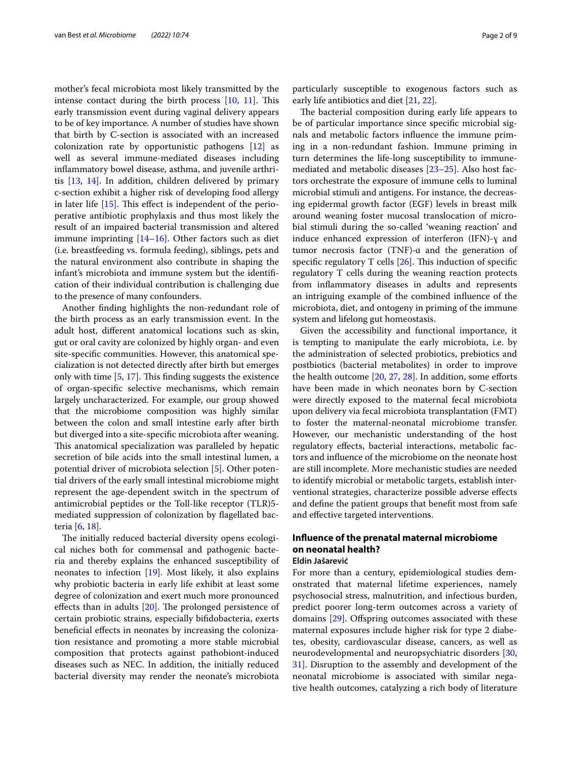mother's fecal microbiota most likely transmitted by the intense contact during the birth process  $[10, 11]$  $[10, 11]$  $[10, 11]$  $[10, 11]$ . This early transmission event during vaginal delivery appears to be of key importance. A number of studies have shown that birth by C-section is associated with an increased colonization rate by opportunistic pathogens [\[12](#page-5-9)] as well as several immune-mediated diseases including infammatory bowel disease, asthma, and juvenile arthritis [[13,](#page-5-10) [14](#page-6-0)]. In addition, children delivered by primary c-section exhibit a higher risk of developing food allergy in later life  $[15]$  $[15]$  $[15]$ . This effect is independent of the perioperative antibiotic prophylaxis and thus most likely the result of an impaired bacterial transmission and altered immune imprinting [\[14](#page-6-0)[–16](#page-6-2)]. Other factors such as diet (i.e. breastfeeding vs. formula feeding), siblings, pets and the natural environment also contribute in shaping the infant's microbiota and immune system but the identifcation of their individual contribution is challenging due to the presence of many confounders.

Another fnding highlights the non-redundant role of the birth process as an early transmission event. In the adult host, diferent anatomical locations such as skin, gut or oral cavity are colonized by highly organ- and even site-specifc communities. However, this anatomical specialization is not detected directly after birth but emerges only with time  $[5, 17]$  $[5, 17]$  $[5, 17]$  $[5, 17]$  $[5, 17]$ . This finding suggests the existence of organ-specifc selective mechanisms, which remain largely uncharacterized. For example, our group showed that the microbiome composition was highly similar between the colon and small intestine early after birth but diverged into a site-specifc microbiota after weaning. This anatomical specialization was paralleled by hepatic secretion of bile acids into the small intestinal lumen, a potential driver of microbiota selection [\[5](#page-5-11)]. Other potential drivers of the early small intestinal microbiome might represent the age-dependent switch in the spectrum of antimicrobial peptides or the Toll-like receptor (TLR)5 mediated suppression of colonization by fagellated bacteria [[6,](#page-5-4) [18](#page-6-4)].

The initially reduced bacterial diversity opens ecological niches both for commensal and pathogenic bacteria and thereby explains the enhanced susceptibility of neonates to infection [\[19\]](#page-6-5). Most likely, it also explains why probiotic bacteria in early life exhibit at least some degree of colonization and exert much more pronounced effects than in adults  $[20]$  $[20]$ . The prolonged persistence of certain probiotic strains, especially bifdobacteria, exerts benefcial efects in neonates by increasing the colonization resistance and promoting a more stable microbial composition that protects against pathobiont-induced diseases such as NEC. In addition, the initially reduced bacterial diversity may render the neonate's microbiota particularly susceptible to exogenous factors such as early life antibiotics and diet [\[21](#page-6-7), [22\]](#page-6-8).

The bacterial composition during early life appears to be of particular importance since specifc microbial signals and metabolic factors infuence the immune priming in a non-redundant fashion. Immune priming in turn determines the life-long susceptibility to immunemediated and metabolic diseases [[23–](#page-6-9)[25\]](#page-6-10). Also host factors orchestrate the exposure of immune cells to luminal microbial stimuli and antigens. For instance, the decreasing epidermal growth factor (EGF) levels in breast milk around weaning foster mucosal translocation of microbial stimuli during the so-called 'weaning reaction' and induce enhanced expression of interferon (IFN)-ɣ and tumor necrosis factor (TNF)-ɑ and the generation of specific regulatory T cells  $[26]$  $[26]$ . This induction of specific regulatory T cells during the weaning reaction protects from infammatory diseases in adults and represents an intriguing example of the combined infuence of the microbiota, diet, and ontogeny in priming of the immune system and lifelong gut homeostasis.

Given the accessibility and functional importance, it is tempting to manipulate the early microbiota, i.e. by the administration of selected probiotics, prebiotics and postbiotics (bacterial metabolites) in order to improve the health outcome  $[20, 27, 28]$  $[20, 27, 28]$  $[20, 27, 28]$  $[20, 27, 28]$  $[20, 27, 28]$ . In addition, some efforts have been made in which neonates born by C-section were directly exposed to the maternal fecal microbiota upon delivery via fecal microbiota transplantation (FMT) to foster the maternal-neonatal microbiome transfer. However, our mechanistic understanding of the host regulatory efects, bacterial interactions, metabolic factors and infuence of the microbiome on the neonate host are still incomplete. More mechanistic studies are needed to identify microbial or metabolic targets, establish interventional strategies, characterize possible adverse efects and defne the patient groups that beneft most from safe and efective targeted interventions.

# **Infuence of the prenatal maternal microbiome on neonatal health?**

## **Eldin Jašarević**

For more than a century, epidemiological studies demonstrated that maternal lifetime experiences, namely psychosocial stress, malnutrition, and infectious burden, predict poorer long-term outcomes across a variety of domains [\[29](#page-6-14)]. Offspring outcomes associated with these maternal exposures include higher risk for type 2 diabetes, obesity, cardiovascular disease, cancers, as well as neurodevelopmental and neuropsychiatric disorders [[30](#page-6-15), [31\]](#page-6-16). Disruption to the assembly and development of the neonatal microbiome is associated with similar negative health outcomes, catalyzing a rich body of literature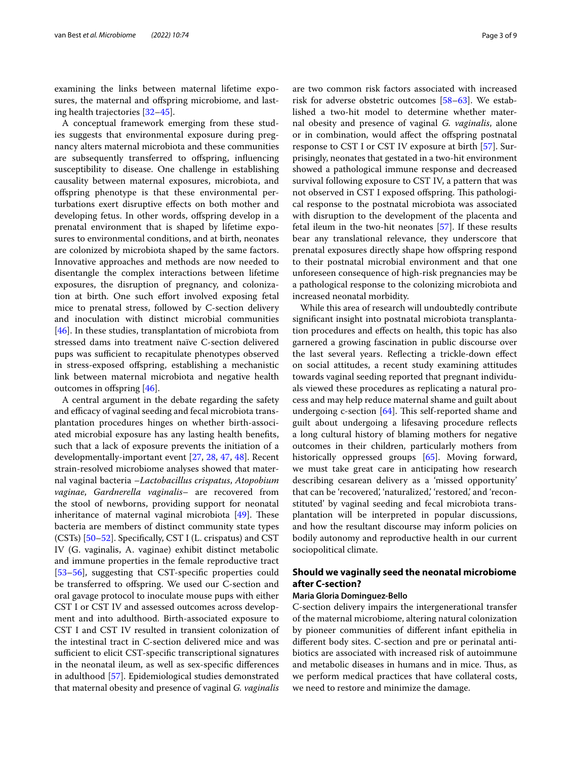examining the links between maternal lifetime exposures, the maternal and offspring microbiome, and lasting health trajectories [\[32](#page-6-17)[–45\]](#page-6-18).

A conceptual framework emerging from these studies suggests that environmental exposure during pregnancy alters maternal microbiota and these communities are subsequently transferred to ofspring, infuencing susceptibility to disease. One challenge in establishing causality between maternal exposures, microbiota, and ofspring phenotype is that these environmental perturbations exert disruptive efects on both mother and developing fetus. In other words, offspring develop in a prenatal environment that is shaped by lifetime exposures to environmental conditions, and at birth, neonates are colonized by microbiota shaped by the same factors. Innovative approaches and methods are now needed to disentangle the complex interactions between lifetime exposures, the disruption of pregnancy, and colonization at birth. One such effort involved exposing fetal mice to prenatal stress, followed by C-section delivery and inoculation with distinct microbial communities [[46\]](#page-6-19). In these studies, transplantation of microbiota from stressed dams into treatment naïve C-section delivered pups was sufficient to recapitulate phenotypes observed in stress-exposed ofspring, establishing a mechanistic link between maternal microbiota and negative health outcomes in offspring  $[46]$  $[46]$ .

A central argument in the debate regarding the safety and efficacy of vaginal seeding and fecal microbiota transplantation procedures hinges on whether birth-associated microbial exposure has any lasting health benefts, such that a lack of exposure prevents the initiation of a developmentally-important event [\[27,](#page-6-12) [28,](#page-6-13) [47,](#page-6-20) [48](#page-6-21)]. Recent strain-resolved microbiome analyses showed that maternal vaginal bacteria –*Lactobacillus crispatus*, *Atopobium vaginae*, *Gardnerella vaginalis*– are recovered from the stool of newborns, providing support for neonatal inheritance of maternal vaginal microbiota  $[49]$ . These bacteria are members of distinct community state types (CSTs) [[50–](#page-6-23)[52](#page-6-24)]. Specifcally, CST I (L. crispatus) and CST IV (G. vaginalis, A. vaginae) exhibit distinct metabolic and immune properties in the female reproductive tract [[53–](#page-6-25)[56](#page-6-26)], suggesting that CST-specifc properties could be transferred to ofspring. We used our C-section and oral gavage protocol to inoculate mouse pups with either CST I or CST IV and assessed outcomes across development and into adulthood. Birth-associated exposure to CST I and CST IV resulted in transient colonization of the intestinal tract in C-section delivered mice and was sufficient to elicit CST-specific transcriptional signatures in the neonatal ileum, as well as sex-specifc diferences in adulthood [[57\]](#page-7-0). Epidemiological studies demonstrated that maternal obesity and presence of vaginal *G. vaginalis* are two common risk factors associated with increased risk for adverse obstetric outcomes [\[58–](#page-7-1)[63\]](#page-7-2). We established a two-hit model to determine whether maternal obesity and presence of vaginal *G. vaginalis*, alone or in combination, would affect the offspring postnatal response to CST I or CST IV exposure at birth [\[57](#page-7-0)]. Surprisingly, neonates that gestated in a two-hit environment showed a pathological immune response and decreased survival following exposure to CST IV, a pattern that was not observed in CST I exposed offspring. This pathological response to the postnatal microbiota was associated with disruption to the development of the placenta and fetal ileum in the two-hit neonates [[57\]](#page-7-0). If these results bear any translational relevance, they underscore that prenatal exposures directly shape how ofspring respond to their postnatal microbial environment and that one unforeseen consequence of high-risk pregnancies may be a pathological response to the colonizing microbiota and increased neonatal morbidity.

While this area of research will undoubtedly contribute signifcant insight into postnatal microbiota transplantation procedures and efects on health, this topic has also garnered a growing fascination in public discourse over the last several years. Refecting a trickle-down efect on social attitudes, a recent study examining attitudes towards vaginal seeding reported that pregnant individuals viewed these procedures as replicating a natural process and may help reduce maternal shame and guilt about undergoing c-section  $[64]$  $[64]$  $[64]$ . This self-reported shame and guilt about undergoing a lifesaving procedure refects a long cultural history of blaming mothers for negative outcomes in their children, particularly mothers from historically oppressed groups [\[65](#page-7-4)]. Moving forward, we must take great care in anticipating how research describing cesarean delivery as a 'missed opportunity' that can be 'recovered', 'naturalized', 'restored', and 'reconstituted' by vaginal seeding and fecal microbiota transplantation will be interpreted in popular discussions, and how the resultant discourse may inform policies on bodily autonomy and reproductive health in our current sociopolitical climate.

## **Should we vaginally seed the neonatal microbiome after C‑section?**

### **Maria Gloria Dominguez‑Bello**

C-section delivery impairs the intergenerational transfer of the maternal microbiome, altering natural colonization by pioneer communities of diferent infant epithelia in diferent body sites. C-section and pre or perinatal antibiotics are associated with increased risk of autoimmune and metabolic diseases in humans and in mice. Thus, as we perform medical practices that have collateral costs, we need to restore and minimize the damage.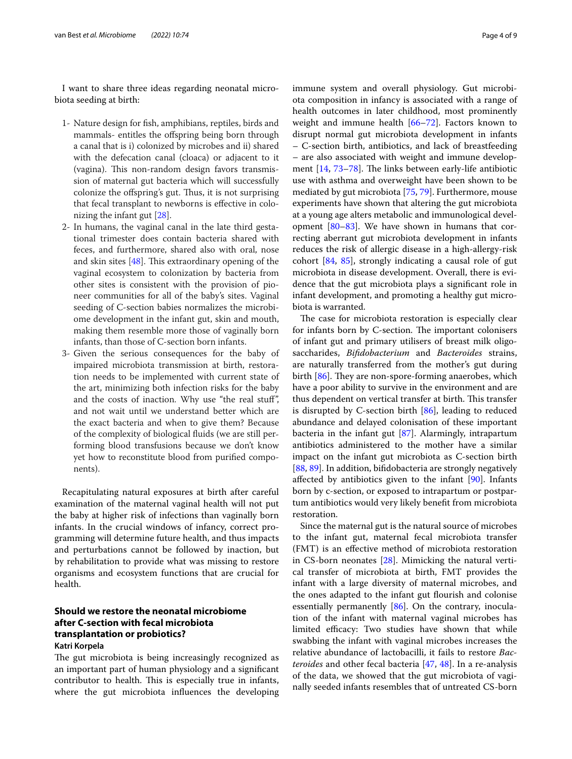I want to share three ideas regarding neonatal microbiota seeding at birth:

- 1- Nature design for fsh, amphibians, reptiles, birds and mammals- entitles the ofspring being born through a canal that is i) colonized by microbes and ii) shared with the defecation canal (cloaca) or adjacent to it (vagina). This non-random design favors transmission of maternal gut bacteria which will successfully colonize the offspring's gut. Thus, it is not surprising that fecal transplant to newborns is efective in colonizing the infant gut [[28](#page-6-13)].
- 2- In humans, the vaginal canal in the late third gestational trimester does contain bacteria shared with feces, and furthermore, shared also with oral, nose and skin sites  $[48]$  $[48]$ . This extraordinary opening of the vaginal ecosystem to colonization by bacteria from other sites is consistent with the provision of pioneer communities for all of the baby's sites. Vaginal seeding of C-section babies normalizes the microbiome development in the infant gut, skin and mouth, making them resemble more those of vaginally born infants, than those of C-section born infants.
- 3- Given the serious consequences for the baby of impaired microbiota transmission at birth, restoration needs to be implemented with current state of the art, minimizing both infection risks for the baby and the costs of inaction. Why use "the real stuf", and not wait until we understand better which are the exact bacteria and when to give them? Because of the complexity of biological fuids (we are still performing blood transfusions because we don't know yet how to reconstitute blood from purifed components).

Recapitulating natural exposures at birth after careful examination of the maternal vaginal health will not put the baby at higher risk of infections than vaginally born infants. In the crucial windows of infancy, correct programming will determine future health, and thus impacts and perturbations cannot be followed by inaction, but by rehabilitation to provide what was missing to restore organisms and ecosystem functions that are crucial for health.

## **Should we restore the neonatal microbiome after C‑section with fecal microbiota transplantation or probiotics? Katri Korpela**

The gut microbiota is being increasingly recognized as an important part of human physiology and a signifcant contributor to health. This is especially true in infants, where the gut microbiota infuences the developing immune system and overall physiology. Gut microbiota composition in infancy is associated with a range of health outcomes in later childhood, most prominently weight and immune health [[66–](#page-7-5)[72\]](#page-7-6). Factors known to disrupt normal gut microbiota development in infants – C-section birth, antibiotics, and lack of breastfeeding – are also associated with weight and immune development  $[14, 73-78]$  $[14, 73-78]$  $[14, 73-78]$  $[14, 73-78]$ . The links between early-life antibiotic use with asthma and overweight have been shown to be mediated by gut microbiota [[75,](#page-7-9) [79\]](#page-7-10). Furthermore, mouse experiments have shown that altering the gut microbiota at a young age alters metabolic and immunological development [\[80–](#page-7-11)[83\]](#page-7-12). We have shown in humans that correcting aberrant gut microbiota development in infants reduces the risk of allergic disease in a high-allergy-risk cohort [\[84,](#page-7-13) [85\]](#page-7-14), strongly indicating a causal role of gut microbiota in disease development. Overall, there is evidence that the gut microbiota plays a signifcant role in infant development, and promoting a healthy gut microbiota is warranted.

The case for microbiota restoration is especially clear for infants born by C-section. The important colonisers of infant gut and primary utilisers of breast milk oligosaccharides, *Bifdobacterium* and *Bacteroides* strains, are naturally transferred from the mother's gut during birth  $[86]$  $[86]$ . They are non-spore-forming anaerobes, which have a poor ability to survive in the environment and are thus dependent on vertical transfer at birth. This transfer is disrupted by C-section birth [\[86](#page-7-15)], leading to reduced abundance and delayed colonisation of these important bacteria in the infant gut [\[87](#page-7-16)]. Alarmingly, intrapartum antibiotics administered to the mother have a similar impact on the infant gut microbiota as C-section birth [[88,](#page-7-17) [89\]](#page-7-18). In addition, bifdobacteria are strongly negatively afected by antibiotics given to the infant [\[90](#page-7-19)]. Infants born by c-section, or exposed to intrapartum or postpartum antibiotics would very likely beneft from microbiota restoration.

Since the maternal gut is the natural source of microbes to the infant gut, maternal fecal microbiota transfer (FMT) is an efective method of microbiota restoration in CS-born neonates [\[28](#page-6-13)]. Mimicking the natural vertical transfer of microbiota at birth, FMT provides the infant with a large diversity of maternal microbes, and the ones adapted to the infant gut flourish and colonise essentially permanently [\[86\]](#page-7-15). On the contrary, inoculation of the infant with maternal vaginal microbes has limited efficacy: Two studies have shown that while swabbing the infant with vaginal microbes increases the relative abundance of lactobacilli, it fails to restore *Bacteroides* and other fecal bacteria [[47,](#page-6-20) [48\]](#page-6-21). In a re-analysis of the data, we showed that the gut microbiota of vaginally seeded infants resembles that of untreated CS-born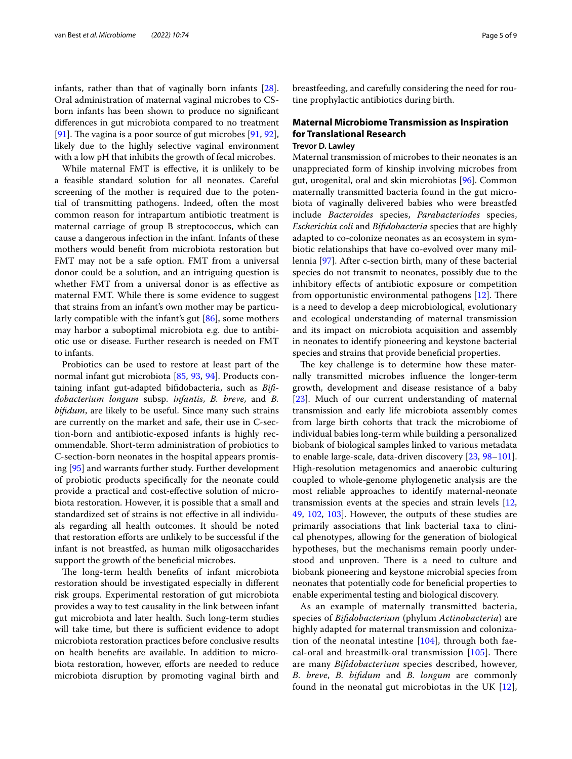infants, rather than that of vaginally born infants [\[28](#page-6-13)]. Oral administration of maternal vaginal microbes to CSborn infants has been shown to produce no signifcant diferences in gut microbiota compared to no treatment [[91\]](#page-7-20). The vagina is a poor source of gut microbes  $[91, 92]$  $[91, 92]$  $[91, 92]$  $[91, 92]$ , likely due to the highly selective vaginal environment with a low pH that inhibits the growth of fecal microbes.

While maternal FMT is efective, it is unlikely to be a feasible standard solution for all neonates. Careful screening of the mother is required due to the potential of transmitting pathogens. Indeed, often the most common reason for intrapartum antibiotic treatment is maternal carriage of group B streptococcus, which can cause a dangerous infection in the infant. Infants of these mothers would beneft from microbiota restoration but FMT may not be a safe option. FMT from a universal donor could be a solution, and an intriguing question is whether FMT from a universal donor is as efective as maternal FMT. While there is some evidence to suggest that strains from an infant's own mother may be particularly compatible with the infant's gut [\[86\]](#page-7-15), some mothers may harbor a suboptimal microbiota e.g. due to antibiotic use or disease. Further research is needed on FMT to infants.

Probiotics can be used to restore at least part of the normal infant gut microbiota [[85,](#page-7-14) [93,](#page-7-22) [94\]](#page-7-23). Products containing infant gut-adapted bifdobacteria, such as *Bifdobacterium longum* subsp. *infantis*, *B. breve*, and *B. bifdum*, are likely to be useful. Since many such strains are currently on the market and safe, their use in C-section-born and antibiotic-exposed infants is highly recommendable. Short-term administration of probiotics to C-section-born neonates in the hospital appears promising [\[95\]](#page-7-24) and warrants further study. Further development of probiotic products specifcally for the neonate could provide a practical and cost-efective solution of microbiota restoration. However, it is possible that a small and standardized set of strains is not efective in all individuals regarding all health outcomes. It should be noted that restoration eforts are unlikely to be successful if the infant is not breastfed, as human milk oligosaccharides support the growth of the beneficial microbes.

The long-term health benefits of infant microbiota restoration should be investigated especially in diferent risk groups. Experimental restoration of gut microbiota provides a way to test causality in the link between infant gut microbiota and later health. Such long-term studies will take time, but there is sufficient evidence to adopt microbiota restoration practices before conclusive results on health benefts are available. In addition to microbiota restoration, however, efforts are needed to reduce microbiota disruption by promoting vaginal birth and breastfeeding, and carefully considering the need for routine prophylactic antibiotics during birth.

## **Maternal Microbiome Transmission as Inspiration for Translational Research**

## **Trevor D. Lawley**

Maternal transmission of microbes to their neonates is an unappreciated form of kinship involving microbes from gut, urogenital, oral and skin microbiotas [[96](#page-7-25)]. Common maternally transmitted bacteria found in the gut microbiota of vaginally delivered babies who were breastfed include *Bacteroides* species, *Parabacteriodes* species, *Escherichia coli* and *Bifdobacteria* species that are highly adapted to co-colonize neonates as an ecosystem in symbiotic relationships that have co-evolved over many millennia [[97\]](#page-7-26). After c-section birth, many of these bacterial species do not transmit to neonates, possibly due to the inhibitory efects of antibiotic exposure or competition from opportunistic environmental pathogens  $[12]$  $[12]$ . There is a need to develop a deep microbiological, evolutionary and ecological understanding of maternal transmission and its impact on microbiota acquisition and assembly in neonates to identify pioneering and keystone bacterial species and strains that provide benefcial properties.

The key challenge is to determine how these maternally transmitted microbes infuence the longer-term growth, development and disease resistance of a baby [[23\]](#page-6-9). Much of our current understanding of maternal transmission and early life microbiota assembly comes from large birth cohorts that track the microbiome of individual babies long-term while building a personalized biobank of biological samples linked to various metadata to enable large-scale, data-driven discovery [[23,](#page-6-9) [98](#page-7-27)[–101](#page-8-0)]. High-resolution metagenomics and anaerobic culturing coupled to whole-genome phylogenetic analysis are the most reliable approaches to identify maternal-neonate transmission events at the species and strain levels [[12](#page-5-9), [49,](#page-6-22) [102,](#page-8-1) [103](#page-8-2)]. However, the outputs of these studies are primarily associations that link bacterial taxa to clinical phenotypes, allowing for the generation of biological hypotheses, but the mechanisms remain poorly understood and unproven. There is a need to culture and biobank pioneering and keystone microbial species from neonates that potentially code for benefcial properties to enable experimental testing and biological discovery.

As an example of maternally transmitted bacteria, species of *Bifdobacterium* (phylum *Actinobacteria*) are highly adapted for maternal transmission and colonization of the neonatal intestine  $[104]$  $[104]$ , through both faecal-oral and breastmilk-oral transmission  $[105]$  $[105]$  $[105]$ . There are many *Bifdobacterium* species described, however, *B. breve*, *B. bifdum* and *B. longum* are commonly found in the neonatal gut microbiotas in the UK [[12](#page-5-9)],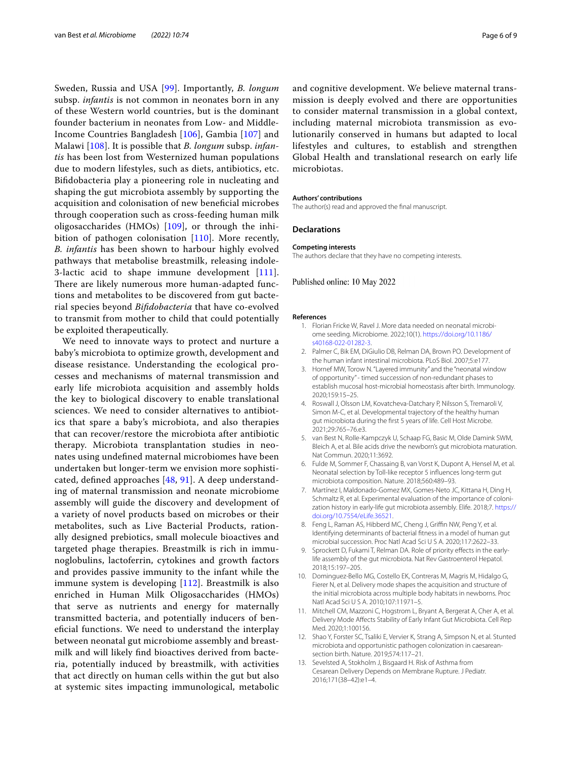Sweden, Russia and USA [\[99\]](#page-8-5). Importantly, *B. longum* subsp. *infantis* is not common in neonates born in any of these Western world countries, but is the dominant founder bacterium in neonates from Low- and Middle-Income Countries Bangladesh [\[106\]](#page-8-6), Gambia [[107\]](#page-8-7) and Malawi [[108\]](#page-8-8). It is possible that *B. longum* subsp. *infantis* has been lost from Westernized human populations due to modern lifestyles, such as diets, antibiotics, etc. Bifdobacteria play a pioneering role in nucleating and shaping the gut microbiota assembly by supporting the acquisition and colonisation of new benefcial microbes through cooperation such as cross-feeding human milk oligosaccharides (HMOs) [\[109](#page-8-9)], or through the inhibition of pathogen colonisation [\[110](#page-8-10)]. More recently, *B. infantis* has been shown to harbour highly evolved pathways that metabolise breastmilk, releasing indole-3-lactic acid to shape immune development [[111\]](#page-8-11). There are likely numerous more human-adapted functions and metabolites to be discovered from gut bacterial species beyond *Bifdobacteria* that have co-evolved to transmit from mother to child that could potentially be exploited therapeutically.

We need to innovate ways to protect and nurture a baby's microbiota to optimize growth, development and disease resistance. Understanding the ecological processes and mechanisms of maternal transmission and early life microbiota acquisition and assembly holds the key to biological discovery to enable translational sciences. We need to consider alternatives to antibiotics that spare a baby's microbiota, and also therapies that can recover/restore the microbiota after antibiotic therapy. Microbiota transplantation studies in neonates using undefned maternal microbiomes have been undertaken but longer-term we envision more sophisticated, defned approaches [\[48](#page-6-21), [91\]](#page-7-20). A deep understanding of maternal transmission and neonate microbiome assembly will guide the discovery and development of a variety of novel products based on microbes or their metabolites, such as Live Bacterial Products, rationally designed prebiotics, small molecule bioactives and targeted phage therapies. Breastmilk is rich in immunoglobulins, lactoferrin, cytokines and growth factors and provides passive immunity to the infant while the immune system is developing [[112\]](#page-8-12). Breastmilk is also enriched in Human Milk Oligosaccharides (HMOs) that serve as nutrients and energy for maternally transmitted bacteria, and potentially inducers of benefcial functions. We need to understand the interplay between neonatal gut microbiome assembly and breastmilk and will likely fnd bioactives derived from bacteria, potentially induced by breastmilk, with activities that act directly on human cells within the gut but also at systemic sites impacting immunological, metabolic and cognitive development. We believe maternal transmission is deeply evolved and there are opportunities to consider maternal transmission in a global context, including maternal microbiota transmission as evolutionarily conserved in humans but adapted to local lifestyles and cultures, to establish and strengthen Global Health and translational research on early life microbiotas.

#### **Authors' contributions**

The author(s) read and approved the fnal manuscript.

#### **Declarations**

#### **Competing interests**

The authors declare that they have no competing interests.

### Published online: 10 May 2022

#### <span id="page-5-0"></span>**References**

- 1. Florian Fricke W, Ravel J. More data needed on neonatal microbiome seeding. Microbiome. 2022;10(1). [https://doi.org/10.1186/](https://doi.org/10.1186/s40168-022-01282-3) [s40168-022-01282-3.](https://doi.org/10.1186/s40168-022-01282-3)
- <span id="page-5-1"></span>2. Palmer C, Bik EM, DiGiulio DB, Relman DA, Brown PO. Development of the human infant intestinal microbiota. PLoS Biol. 2007;5:e177.
- <span id="page-5-2"></span>3. Hornef MW, Torow N. "Layered immunity" and the "neonatal window of opportunity" - timed succession of non-redundant phases to establish mucosal host-microbial homeostasis after birth. Immunology. 2020;159:15–25.
- <span id="page-5-3"></span>4. Roswall J, Olsson LM, Kovatcheva-Datchary P, Nilsson S, Tremaroli V, Simon M-C, et al. Developmental trajectory of the healthy human gut microbiota during the frst 5 years of life. Cell Host Microbe. 2021;29:765–76.e3.
- <span id="page-5-11"></span>5. van Best N, Rolle-Kampczyk U, Schaap FG, Basic M, Olde Damink SWM, Bleich A, et al. Bile acids drive the newborn's gut microbiota maturation. Nat Commun. 2020;11:3692.
- <span id="page-5-4"></span>6. Fulde M, Sommer F, Chassaing B, van Vorst K, Dupont A, Hensel M, et al. Neonatal selection by Toll-like receptor 5 infuences long-term gut microbiota composition. Nature. 2018;560:489–93.
- <span id="page-5-5"></span>7. Martínez I, Maldonado-Gomez MX, Gomes-Neto JC, Kittana H, Ding H, Schmaltz R, et al. Experimental evaluation of the importance of colonization history in early-life gut microbiota assembly. Elife. 2018;7. [https://](https://doi.org/10.7554/eLife.36521) [doi.org/10.7554/eLife.36521](https://doi.org/10.7554/eLife.36521).
- 8. Feng L, Raman AS, Hibberd MC, Cheng J, Griffin NW, Peng Y, et al. Identifying determinants of bacterial ftness in a model of human gut microbial succession. Proc Natl Acad Sci U S A. 2020;117:2622–33.
- <span id="page-5-6"></span>9. Sprockett D, Fukami T, Relman DA. Role of priority effects in the earlylife assembly of the gut microbiota. Nat Rev Gastroenterol Hepatol. 2018;15:197–205.
- <span id="page-5-7"></span>10. Dominguez-Bello MG, Costello EK, Contreras M, Magris M, Hidalgo G, Fierer N, et al. Delivery mode shapes the acquisition and structure of the initial microbiota across multiple body habitats in newborns. Proc Natl Acad Sci U S A. 2010;107:11971–5.
- <span id="page-5-8"></span>11. Mitchell CM, Mazzoni C, Hogstrom L, Bryant A, Bergerat A, Cher A, et al. Delivery Mode Afects Stability of Early Infant Gut Microbiota. Cell Rep Med. 2020;1:100156.
- <span id="page-5-9"></span>12. Shao Y, Forster SC, Tsaliki E, Vervier K, Strang A, Simpson N, et al. Stunted microbiota and opportunistic pathogen colonization in caesareansection birth. Nature. 2019;574:117–21.
- <span id="page-5-10"></span>13. Sevelsted A, Stokholm J, Bisgaard H. Risk of Asthma from Cesarean Delivery Depends on Membrane Rupture. J Pediatr. 2016;171(38–42):e1–4.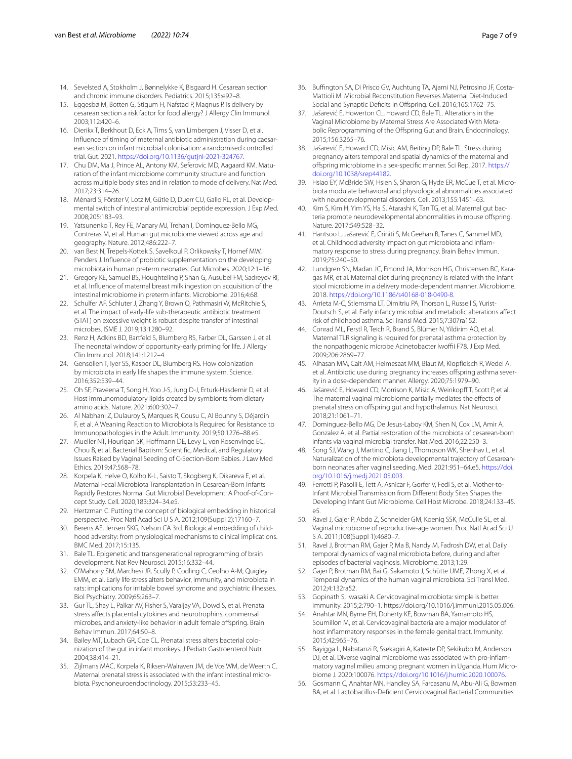- <span id="page-6-0"></span>14. Sevelsted A, Stokholm J, Bønnelykke K, Bisgaard H. Cesarean section and chronic immune disorders. Pediatrics. 2015;135:e92–8.
- <span id="page-6-1"></span>15. Eggesbø M, Botten G, Stigum H, Nafstad P, Magnus P. Is delivery by cesarean section a risk factor for food allergy? J Allergy Clin Immunol. 2003;112:420–6.
- <span id="page-6-2"></span>16. Dierikx T, Berkhout D, Eck A, Tims S, van Limbergen J, Visser D, et al. Influence of timing of maternal antibiotic administration during caesarean section on infant microbial colonisation: a randomised controlled trial. Gut. 2021. <https://doi.org/10.1136/gutjnl-2021-324767>.
- <span id="page-6-3"></span>17. Chu DM, Ma J, Prince AL, Antony KM, Seferovic MD, Aagaard KM. Maturation of the infant microbiome community structure and function across multiple body sites and in relation to mode of delivery. Nat Med. 2017;23:314–26.
- <span id="page-6-4"></span>18. Ménard S, Förster V, Lotz M, Gütle D, Duerr CU, Gallo RL, et al. Developmental switch of intestinal antimicrobial peptide expression. J Exp Med. 2008;205:183–93.
- <span id="page-6-5"></span>19. Yatsunenko T, Rey FE, Manary MJ, Trehan I, Dominguez-Bello MG, Contreras M, et al. Human gut microbiome viewed across age and geography. Nature. 2012;486:222–7.
- <span id="page-6-6"></span>20. van Best N, Trepels-Kottek S, Savelkoul P, Orlikowsky T, Hornef MW, Penders J. Infuence of probiotic supplementation on the developing microbiota in human preterm neonates. Gut Microbes. 2020;12:1–16.
- <span id="page-6-7"></span>21. Gregory KE, Samuel BS, Houghteling P, Shan G, Ausubel FM, Sadreyev RI, et al. Infuence of maternal breast milk ingestion on acquisition of the intestinal microbiome in preterm infants. Microbiome. 2016;4:68.
- <span id="page-6-8"></span>22. Schulfer AF, Schluter J, Zhang Y, Brown Q, Pathmasiri W, McRitchie S, et al. The impact of early-life sub-therapeutic antibiotic treatment (STAT) on excessive weight is robust despite transfer of intestinal microbes. ISME J. 2019;13:1280–92.
- <span id="page-6-9"></span>23. Renz H, Adkins BD, Bartfeld S, Blumberg RS, Farber DL, Garssen J, et al. The neonatal window of opportunity-early priming for life. J Allergy Clin Immunol. 2018;141:1212–4.
- 24. Gensollen T, Iyer SS, Kasper DL, Blumberg RS. How colonization by microbiota in early life shapes the immune system. Science. 2016;352:539–44.
- <span id="page-6-10"></span>25. Oh SF, Praveena T, Song H, Yoo J-S, Jung D-J, Erturk-Hasdemir D, et al. Host immunomodulatory lipids created by symbionts from dietary amino acids. Nature. 2021;600:302–7.
- <span id="page-6-11"></span>26. Al Nabhani Z, Dulauroy S, Marques R, Cousu C, Al Bounny S, Déjardin F, et al. A Weaning Reaction to Microbiota Is Required for Resistance to Immunopathologies in the Adult. Immunity. 2019;50:1276–88.e5.
- <span id="page-6-12"></span>27. Mueller NT, Hourigan SK, Hofmann DE, Levy L, von Rosenvinge EC, Chou B, et al. Bacterial Baptism: Scientifc, Medical, and Regulatory Issues Raised by Vaginal Seeding of C-Section-Born Babies. J Law Med Ethics. 2019;47:568–78.
- <span id="page-6-13"></span>28. Korpela K, Helve O, Kolho K-L, Saisto T, Skogberg K, Dikareva E, et al. Maternal Fecal Microbiota Transplantation in Cesarean-Born Infants Rapidly Restores Normal Gut Microbial Development: A Proof-of-Concept Study. Cell. 2020;183:324–34.e5.
- <span id="page-6-14"></span>29. Hertzman C. Putting the concept of biological embedding in historical perspective. Proc Natl Acad Sci U S A. 2012;109(Suppl 2):17160–7.
- <span id="page-6-15"></span>30. Berens AE, Jensen SKG, Nelson CA 3rd. Biological embedding of childhood adversity: from physiological mechanisms to clinical implications. BMC Med. 2017;15:135.
- <span id="page-6-16"></span>31. Bale TL. Epigenetic and transgenerational reprogramming of brain development. Nat Rev Neurosci. 2015;16:332–44.
- <span id="page-6-17"></span>32. O'Mahony SM, Marchesi JR, Scully P, Codling C, Ceolho A-M, Quigley EMM, et al. Early life stress alters behavior, immunity, and microbiota in rats: implications for irritable bowel syndrome and psychiatric illnesses. Biol Psychiatry. 2009;65:263–7.
- 33. Gur TL, Shay L, Palkar AV, Fisher S, Varaljay VA, Dowd S, et al. Prenatal stress afects placental cytokines and neurotrophins, commensal microbes, and anxiety-like behavior in adult female ofspring. Brain Behav Immun. 2017;64:50–8.
- 34. Bailey MT, Lubach GR, Coe CL. Prenatal stress alters bacterial colonization of the gut in infant monkeys. J Pediatr Gastroenterol Nutr. 2004;38:414–21.
- 35. Zijlmans MAC, Korpela K, Riksen-Walraven JM, de Vos WM, de Weerth C. Maternal prenatal stress is associated with the infant intestinal microbiota. Psychoneuroendocrinology. 2015;53:233–45.
- 36. Bufngton SA, Di Prisco GV, Auchtung TA, Ajami NJ, Petrosino JF, Costa-Mattioli M. Microbial Reconstitution Reverses Maternal Diet-Induced Social and Synaptic Deficits in Offspring. Cell. 2016;165:1762-75.
- 37. Jašarević E, Howerton CL, Howard CD, Bale TL. Alterations in the Vaginal Microbiome by Maternal Stress Are Associated With Metabolic Reprogramming of the Offspring Gut and Brain. Endocrinology. 2015;156:3265–76.
- 38. Jašarević E, Howard CD, Misic AM, Beiting DP, Bale TL. Stress during pregnancy alters temporal and spatial dynamics of the maternal and ofspring microbiome in a sex-specifc manner. Sci Rep. 2017. [https://](https://doi.org/10.1038/srep44182) [doi.org/10.1038/srep44182](https://doi.org/10.1038/srep44182).
- 39. Hsiao EY, McBride SW, Hsien S, Sharon G, Hyde ER, McCue T, et al. Microbiota modulate behavioral and physiological abnormalities associated with neurodevelopmental disorders. Cell. 2013;155:1451–63.
- 40. Kim S, Kim H, Yim YS, Ha S, Atarashi K, Tan TG, et al. Maternal gut bacteria promote neurodevelopmental abnormalities in mouse ofspring. Nature. 2017;549:528–32.
- 41. Hantsoo L, Jašarević E, Criniti S, McGeehan B, Tanes C, Sammel MD, et al. Childhood adversity impact on gut microbiota and inflammatory response to stress during pregnancy. Brain Behav Immun. 2019;75:240–50.
- 42. Lundgren SN, Madan JC, Emond JA, Morrison HG, Christensen BC, Karagas MR, et al. Maternal diet during pregnancy is related with the infant stool microbiome in a delivery mode-dependent manner. Microbiome. 2018. [https://doi.org/10.1186/s40168-018-0490-8.](https://doi.org/10.1186/s40168-018-0490-8)
- Arrieta M-C, Stiemsma LT, Dimitriu PA, Thorson L, Russell S, Yurist-Doutsch S, et al. Early infancy microbial and metabolic alterations afect risk of childhood asthma. Sci Transl Med. 2015;7:307ra152.
- 44. Conrad ML, Ferstl R, Teich R, Brand S, Blümer N, Yildirim AO, et al. Maternal TLR signaling is required for prenatal asthma protection by the nonpathogenic microbe Acinetobacter lwoffii F78. J Exp Med. 2009;206:2869–77.
- <span id="page-6-18"></span>45. Alhasan MM, Cait AM, Heimesaat MM, Blaut M, Klopfeisch R, Wedel A, et al. Antibiotic use during pregnancy increases offspring asthma severity in a dose-dependent manner. Allergy. 2020;75:1979–90.
- <span id="page-6-19"></span>46. Jašarević E, Howard CD, Morrison K, Misic A, Weinkopff T, Scott P, et al. The maternal vaginal microbiome partially mediates the efects of prenatal stress on ofspring gut and hypothalamus. Nat Neurosci. 2018;21:1061–71.
- <span id="page-6-20"></span>47. Dominguez-Bello MG, De Jesus-Laboy KM, Shen N, Cox LM, Amir A, Gonzalez A, et al. Partial restoration of the microbiota of cesarean-born infants via vaginal microbial transfer. Nat Med. 2016;22:250–3.
- <span id="page-6-21"></span>Song SJ, Wang J, Martino C, Jiang L, Thompson WK, Shenhav L, et al. Naturalization of the microbiota developmental trajectory of Cesareanborn neonates after vaginal seeding. Med. 2021:951–64.e5. [https://doi.](https://doi.org/10.1016/j.medj.2021.05.003) [org/10.1016/j.medj.2021.05.003](https://doi.org/10.1016/j.medj.2021.05.003).
- <span id="page-6-22"></span>49. Ferretti P, Pasolli E, Tett A, Asnicar F, Gorfer V, Fedi S, et al. Mother-to-Infant Microbial Transmission from Diferent Body Sites Shapes the Developing Infant Gut Microbiome. Cell Host Microbe. 2018;24:133–45. e5.
- <span id="page-6-23"></span>50. Ravel J, Gajer P, Abdo Z, Schneider GM, Koenig SSK, McCulle SL, et al. Vaginal microbiome of reproductive-age women. Proc Natl Acad Sci U S A. 2011;108(Suppl 1):4680–7.
- 51. Ravel J, Brotman RM, Gajer P, Ma B, Nandy M, Fadrosh DW, et al. Daily temporal dynamics of vaginal microbiota before, during and after episodes of bacterial vaginosis. Microbiome. 2013;1:29.
- <span id="page-6-24"></span>52. Gajer P, Brotman RM, Bai G, Sakamoto J, Schütte UME, Zhong X, et al. Temporal dynamics of the human vaginal microbiota. Sci Transl Med. 2012;4:132ra52.
- <span id="page-6-25"></span>53. Gopinath S, Iwasaki A. Cervicovaginal microbiota: simple is better. Immunity. 2015;2:790–1. https://doi.org/10.1016/j.immuni.2015.05.006.
- 54. Anahtar MN, Byrne EH, Doherty KE, Bowman BA, Yamamoto HS, Soumillon M, et al. Cervicovaginal bacteria are a major modulator of host infammatory responses in the female genital tract. Immunity. 2015;42:965–76.
- 55. Bayigga L, Nabatanzi R, Ssekagiri A, Kateete DP, Sekikubo M, Anderson DJ, et al. Diverse vaginal microbiome was associated with pro-inflammatory vaginal milieu among pregnant women in Uganda. Hum Microbiome J. 2020:100076. <https://doi.org/10.1016/j.humic.2020.100076>.
- <span id="page-6-26"></span>56. Gosmann C, Anahtar MN, Handley SA, Farcasanu M, Abu-Ali G, Bowman BA, et al. Lactobacillus-Defcient Cervicovaginal Bacterial Communities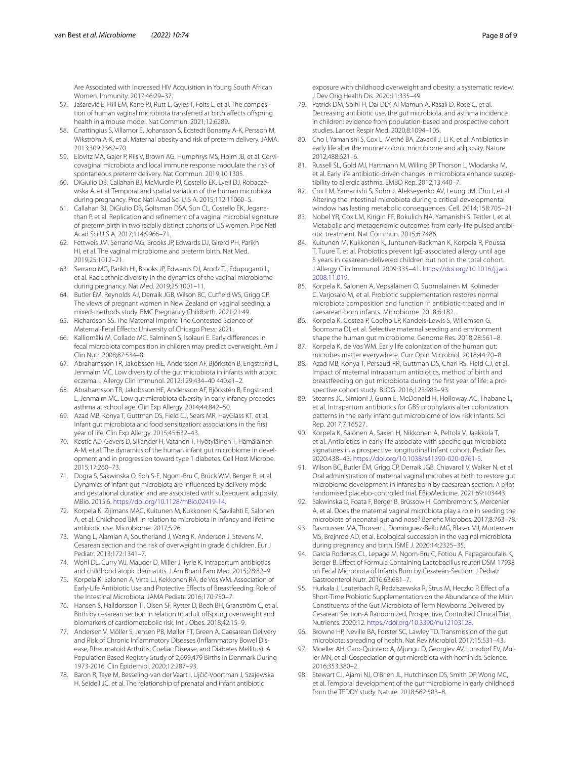Are Associated with Increased HIV Acquisition in Young South African Women. Immunity. 2017;46:29–37.

- <span id="page-7-0"></span>57. Jašarević E, Hill EM, Kane PJ, Rutt L, Gyles T, Folts L, et al. The composition of human vaginal microbiota transferred at birth affects offspring health in a mouse model. Nat Commun. 2021;12:6289.
- <span id="page-7-1"></span>58. Cnattingius S, Villamor E, Johansson S, Edstedt Bonamy A-K, Persson M, Wikström A-K, et al. Maternal obesity and risk of preterm delivery. JAMA. 2013;309:2362–70.
- 59. Elovitz MA, Gajer P, Riis V, Brown AG, Humphrys MS, Holm JB, et al. Cervicovaginal microbiota and local immune response modulate the risk of spontaneous preterm delivery. Nat Commun. 2019;10:1305.
- 60. DiGiulio DB, Callahan BJ, McMurdie PJ, Costello EK, Lyell DJ, Robaczewska A, et al. Temporal and spatial variation of the human microbiota during pregnancy. Proc Natl Acad Sci U S A. 2015;112:11060–5.
- 61. Callahan BJ, DiGiulio DB, Goltsman DSA, Sun CL, Costello EK, Jeganathan P, et al. Replication and refnement of a vaginal microbial signature of preterm birth in two racially distinct cohorts of US women. Proc Natl Acad Sci U S A. 2017;114:9966–71.
- 62. Fettweis JM, Serrano MG, Brooks JP, Edwards DJ, Girerd PH, Parikh HI, et al. The vaginal microbiome and preterm birth. Nat Med. 2019;25:1012–21.
- <span id="page-7-2"></span>63. Serrano MG, Parikh HI, Brooks JP, Edwards DJ, Arodz TJ, Edupuganti L, et al. Racioethnic diversity in the dynamics of the vaginal microbiome during pregnancy. Nat Med. 2019;25:1001–11.
- <span id="page-7-3"></span>64. Butler ÉM, Reynolds AJ, Derraik JGB, Wilson BC, Cutfeld WS, Grigg CP. The views of pregnant women in New Zealand on vaginal seeding: a mixed-methods study. BMC Pregnancy Childbirth. 2021;21:49.
- <span id="page-7-4"></span>65. Richardson SS. The Maternal Imprint: The Contested Science of Maternal-Fetal Efects: University of Chicago Press; 2021.
- <span id="page-7-5"></span>66. Kalliomäki M, Collado MC, Salminen S, Isolauri E. Early diferences in fecal microbiota composition in children may predict overweight. Am J Clin Nutr. 2008;87:534–8.
- 67. Abrahamsson TR, Jakobsson HE, Andersson AF, Björkstén B, Engstrand L, Jenmalm MC. Low diversity of the gut microbiota in infants with atopic eczema. J Allergy Clin Immunol. 2012;129:434–40 440.e1–2.
- 68. Abrahamsson TR, Jakobsson HE, Andersson AF, Björkstén B, Engstrand L, Jenmalm MC. Low gut microbiota diversity in early infancy precedes asthma at school age. Clin Exp Allergy. 2014;44:842–50.
- 69. Azad MB, Konya T, Guttman DS, Field CJ, Sears MR, HayGlass KT, et al. Infant gut microbiota and food sensitization: associations in the frst year of life. Clin Exp Allergy. 2015;45:632–43.
- 70. Kostic AD, Gevers D, Siljander H, Vatanen T, Hyötyläinen T, Hämäläinen A-M, et al. The dynamics of the human infant gut microbiome in development and in progression toward type 1 diabetes. Cell Host Microbe. 2015;17:260–73.
- 71. Dogra S, Sakwinska O, Soh S-E, Ngom-Bru C, Brück WM, Berger B, et al. Dynamics of infant gut microbiota are infuenced by delivery mode and gestational duration and are associated with subsequent adiposity. MBio. 2015;6. <https://doi.org/10.1128/mBio.02419-14>.
- <span id="page-7-6"></span>72. Korpela K, Zijlmans MAC, Kuitunen M, Kukkonen K, Savilahti E, Salonen A, et al. Childhood BMI in relation to microbiota in infancy and lifetime antibiotic use. Microbiome. 2017;5:26.
- <span id="page-7-7"></span>73. Wang L, Alamian A, Southerland J, Wang K, Anderson J, Stevens M. Cesarean section and the risk of overweight in grade 6 children. Eur J Pediatr. 2013;172:1341–7.
- 74. Wohl DL, Curry WJ, Mauger D, Miller J, Tyrie K. Intrapartum antibiotics and childhood atopic dermatitis. J Am Board Fam Med. 2015;28:82–9.
- <span id="page-7-9"></span>75. Korpela K, Salonen A, Virta LJ, Kekkonen RA, de Vos WM. Association of Early-Life Antibiotic Use and Protective Efects of Breastfeeding: Role of the Intestinal Microbiota. JAMA Pediatr. 2016;170:750–7.
- 76. Hansen S, Halldorsson TI, Olsen SF, Rytter D, Bech BH, Granström C, et al. Birth by cesarean section in relation to adult offspring overweight and biomarkers of cardiometabolic risk. Int J Obes. 2018;42:15–9.
- 77. Andersen V, Möller S, Jensen PB, Møller FT, Green A. Caesarean Delivery and Risk of Chronic Inflammatory Diseases (Inflammatory Bowel Disease, Rheumatoid Arthritis, Coeliac Disease, and Diabetes Mellitus): A Population Based Registry Study of 2,699,479 Births in Denmark During 1973-2016. Clin Epidemiol. 2020;12:287–93.
- <span id="page-7-8"></span>78. Baron R, Taye M, Besseling-van der Vaart I, Ujčič-Voortman J, Szajewska H, Seidell JC, et al. The relationship of prenatal and infant antibiotic
- <span id="page-7-10"></span>79. Patrick DM, Sbihi H, Dai DLY, Al Mamun A, Rasali D, Rose C, et al. Decreasing antibiotic use, the gut microbiota, and asthma incidence in children: evidence from population-based and prospective cohort studies. Lancet Respir Med. 2020;8:1094–105.
- <span id="page-7-11"></span>80. Cho I, Yamanishi S, Cox L, Methé BA, Zavadil J, Li K, et al. Antibiotics in early life alter the murine colonic microbiome and adiposity. Nature. 2012;488:621–6.
- 81. Russell SL, Gold MJ, Hartmann M, Willing BP, Thorson L, Wlodarska M, et al. Early life antibiotic-driven changes in microbiota enhance susceptibility to allergic asthma. EMBO Rep. 2012;13:440–7.
- 82. Cox LM, Yamanishi S, Sohn J, Alekseyenko AV, Leung JM, Cho I, et al. Altering the intestinal microbiota during a critical developmental window has lasting metabolic consequences. Cell. 2014;158:705–21.
- <span id="page-7-12"></span>83. Nobel YR, Cox LM, Kirigin FF, Bokulich NA, Yamanishi S, Teitler I, et al. Metabolic and metagenomic outcomes from early-life pulsed antibiotic treatment. Nat Commun. 2015;6:7486.
- <span id="page-7-13"></span>84. Kuitunen M, Kukkonen K, Juntunen-Backman K, Korpela R, Poussa T, Tuure T, et al. Probiotics prevent IgE-associated allergy until age 5 years in cesarean-delivered children but not in the total cohort. J Allergy Clin Immunol. 2009:335–41. [https://doi.org/10.1016/j.jaci.](https://doi.org/10.1016/j.jaci.2008.11.019) [2008.11.019](https://doi.org/10.1016/j.jaci.2008.11.019).
- <span id="page-7-14"></span>85. Korpela K, Salonen A, Vepsäläinen O, Suomalainen M, Kolmeder C, Varjosalo M, et al. Probiotic supplementation restores normal microbiota composition and function in antibiotic-treated and in caesarean-born infants. Microbiome. 2018;6:182.
- <span id="page-7-15"></span>86. Korpela K, Costea P, Coelho LP, Kandels-Lewis S, Willemsen G, Boomsma DI, et al. Selective maternal seeding and environment shape the human gut microbiome. Genome Res. 2018;28:561–8.
- <span id="page-7-16"></span>Korpela K, de Vos WM. Early life colonization of the human gut: microbes matter everywhere. Curr Opin Microbiol. 2018;44:70–8.
- <span id="page-7-17"></span>88. Azad MB, Konya T, Persaud RR, Guttman DS, Chari RS, Field CJ, et al. Impact of maternal intrapartum antibiotics, method of birth and breastfeeding on gut microbiota during the first year of life: a prospective cohort study. BJOG. 2016;123:983–93.
- <span id="page-7-18"></span>89. Stearns JC, Simioni J, Gunn E, McDonald H, Holloway AC, Thabane L, et al. Intrapartum antibiotics for GBS prophylaxis alter colonization patterns in the early infant gut microbiome of low risk infants. Sci Rep. 2017;7:16527.
- <span id="page-7-19"></span>90. Korpela K, Salonen A, Saxen H, Nikkonen A, Peltola V, Jaakkola T, et al. Antibiotics in early life associate with specifc gut microbiota signatures in a prospective longitudinal infant cohort. Pediatr Res. 2020:438–43. <https://doi.org/10.1038/s41390-020-0761-5>.
- <span id="page-7-20"></span>91. Wilson BC, Butler ÉM, Grigg CP, Derraik JGB, Chiavaroli V, Walker N, et al. Oral administration of maternal vaginal microbes at birth to restore gut microbiome development in infants born by caesarean section: A pilot randomised placebo-controlled trial. EBioMedicine. 2021;69:103443.
- <span id="page-7-21"></span>92. Sakwinska O, Foata F, Berger B, Brüssow H, Combremont S, Mercenier A, et al. Does the maternal vaginal microbiota play a role in seeding the microbiota of neonatal gut and nose? Benefc Microbes. 2017;8:763–78.
- <span id="page-7-22"></span>93. Rasmussen MA, Thorsen J, Dominguez-Bello MG, Blaser MJ, Mortensen MS, Brejnrod AD, et al. Ecological succession in the vaginal microbiota during pregnancy and birth. ISME J. 2020;14:2325–35.
- <span id="page-7-23"></span>94. Garcia Rodenas CL, Lepage M, Ngom-Bru C, Fotiou A, Papagaroufalis K, Berger B. Efect of Formula Containing Lactobacillus reuteri DSM 17938 on Fecal Microbiota of Infants Born by Cesarean-Section. J Pediatr Gastroenterol Nutr. 2016;63:681–7.
- <span id="page-7-24"></span>95. Hurkala J, Lauterbach R, Radziszewska R, Strus M, Heczko P. Efect of a Short-Time Probiotic Supplementation on the Abundance of the Main Constituents of the Gut Microbiota of Term Newborns Delivered by Cesarean Section-A Randomized, Prospective, Controlled Clinical Trial. Nutrients. 2020:12.<https://doi.org/10.3390/nu12103128>.
- <span id="page-7-25"></span>Browne HP, Neville BA, Forster SC, Lawley TD. Transmission of the gut microbiota: spreading of health. Nat Rev Microbiol. 2017;15:531–43.
- <span id="page-7-26"></span>97. Moeller AH, Caro-Quintero A, Mjungu D, Georgiev AV, Lonsdorf EV, Muller MN, et al. Cospeciation of gut microbiota with hominids. Science. 2016;353:380–2.
- <span id="page-7-27"></span>98. Stewart CJ, Ajami NJ, O'Brien JL, Hutchinson DS, Smith DP, Wong MC, et al. Temporal development of the gut microbiome in early childhood from the TEDDY study. Nature. 2018;562:583–8.